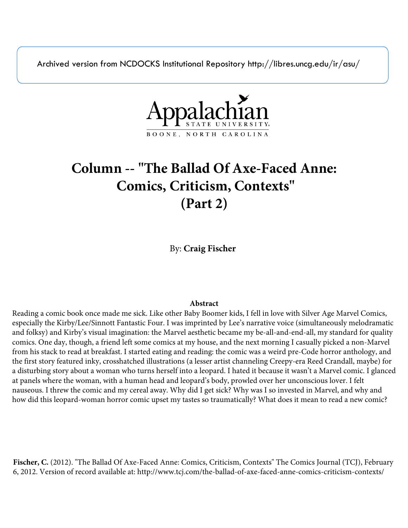Archived version from NCDOCKS Institutional Repository http://libres.uncg.edu/ir/asu/



# **Column -- "The Ballad Of Axe-Faced Anne: Comics, Criticism, Contexts" (Part 2)**

By: **Craig Fischer**

### **Abstract**

Reading a comic book once made me sick. Like other Baby Boomer kids, I fell in love with Silver Age Marvel Comics, especially the Kirby/Lee/Sinnott Fantastic Four. I was imprinted by Lee's narrative voice (simultaneously melodramatic and folksy) and Kirby's visual imagination: the Marvel aesthetic became my be-all-and-end-all, my standard for quality comics. One day, though, a friend left some comics at my house, and the next morning I casually picked a non-Marvel from his stack to read at breakfast. I started eating and reading: the comic was a weird pre-Code horror anthology, and the first story featured inky, crosshatched illustrations (a lesser artist channeling Creepy-era Reed Crandall, maybe) for a disturbing story about a woman who turns herself into a leopard. I hated it because it wasn't a Marvel comic. I glanced at panels where the woman, with a human head and leopard's body, prowled over her unconscious lover. I felt nauseous. I threw the comic and my cereal away. Why did I get sick? Why was I so invested in Marvel, and why and how did this leopard-woman horror comic upset my tastes so traumatically? What does it mean to read a new comic?

**Fischer, C.** (2012). "The Ballad Of Axe-Faced Anne: Comics, Criticism, Contexts" The Comics Journal (TCJ), February 6, 2012. Version of record available at: http://www.tcj.com/the-ballad-of-axe-faced-anne-comics-criticism-contexts/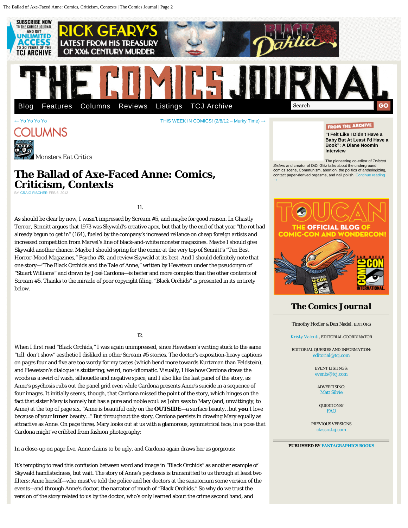The Ballad of Axe-Faced Anne: Comics, Criticism, Contexts | The Comics Journal | Page 2



## **The Ballad of Axe-Faced Anne: Comics, Criticism, Contexts**

BY [CRAIG FISCHER](http://www.tcj.com/author/craig-fischer/) FEB 6, 2012

*Monsters Eat Critics*

11.

As should be clear by now, I wasn't impressed by *Scream* #5, and maybe for good reason. In *Ghastly Terror*, Sennitt argues that 1973 was Skywald's creative apex, but that by the end of that year "the rot had already begun to get in" (164), fueled by the company's increased reliance on cheap foreign artists and increased competition from Marvel's line of black-and-white monster magazines. Maybe I should give Skywald another chance. Maybe I should spring for the comic at the very top of Sennitt's "Ten Best Horror-Mood Magazines," *Psycho* #8, and review Skywald at its best. And I should definitely note that one story—"The Black Orchids and the Tale of Anne," written by Hewetson under the pseudonym of "Stuart Williams" and drawn by José Cardona—is better and more complex than the other contents of *Scream* #5. Thanks to the miracle of poor copyright filing, "Black Orchids" is presented in its entirety below.

12.

When I first read "Black Orchids," I was again unimpressed, since Hewetson's writing stuck to the same "tell, don't show" aesthetic I disliked in other *Scream* #5 stories. The doctor's exposition-heavy captions on pages four and five are too wordy for my tastes (which bend more towards Kurtzman than Feldstein), and Hewetson's dialogue is stuttering, weird, non-idiomatic. Visually, I like how Cardona draws the woods as a swirl of wash, silhouette and negative space, and I also like the last panel of the story, as Anne's psychosis rubs out the panel grid even while Cardona presents Anne's suicide in a sequence of four images. It initially seems, though, that Cardona missed the point of the story, which hinges on the fact that sister Mary is homely but has a pure and noble soul: as John says to Mary (and, unwittingly, to Anne) at the top of page six, "Anne is beautiful only on the **OUTSIDE**—a surface beauty…but **you** I love because of your **inner** beauty…" But throughout the story, Cardona persists in drawing Mary equally as attractive as Anne. On page three, Mary looks out at us with a glamorous, symmetrical face, in a pose that Cardona might've cribbed from fashion photography:

In a close-up on page five, Anne claims to be ugly, and Cardona again draws her as gorgeous:

It's tempting to read this confusion between word and image in "Black Orchids" as another example of Skywald hamfistedness, but wait. The story of Anne's psychosis is transmitted to us through at least two filters: Anne herself—who must've told the police and her doctors at the sanatorium some version of the events—and through Anne's doctor, the narrator of much of "Black Orchids." So why do we trust the version of the story related to us by the doctor, who's only learned about the crime second hand, and

The pioneering co-editor of *Twisted Sisters* and creator of DiDi Glitz talks about the underground comics scene, Communism, abortion, the politics of anthologizing, contact paper-derived orgasms, and nail polish. Cor

[→](http://www.tcj.com/i-felt-like-i-didn%e2%80%99t-have-a-baby-but-at-least-i%e2%80%99d-have-a-book-a-diane-noomin-interview/)

**[Interview](http://www.tcj.com/i-felt-like-i-didn%e2%80%99t-have-a-baby-but-at-least-i%e2%80%99d-have-a-book-a-diane-noomin-interview/)**



### *The Comics Journal*

Timothy Hodler & Dan Nadel, EDITORS

[Kristy Valenti](mailto:kristy@tcj.com), EDITORIAL COORDINATOR

EDITORIAL QUERIES AND INFORMATION: [editorial@tcj.com](mailto:editorial@tcj.com)

> EVENT LISTINGS: [events@tcj.com](mailto:events@tcj.com)

ADVERTISING: [Matt Silvie](mailto:silvie@fantagraphics.com)

QUESTIONS? [FAQ](file:///faq/)

PREVIOUS VERSIONS [classic.tcj.com](http://classic.tcj.com/)

#### **PUBLISHED BY [FANTAGRAPHICS BOOKS](http://www.fantagraphics.com/)**